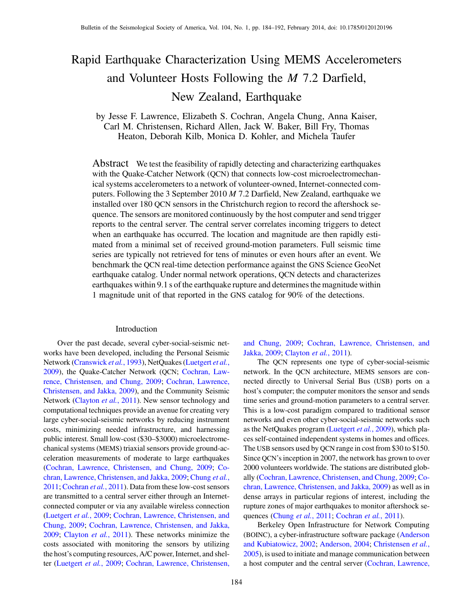# Rapid Earthquake Characterization Using MEMS Accelerometers and Volunteer Hosts Following the M 7.2 Darfield, New Zealand, Earthquake

by Jesse F. Lawrence, Elizabeth S. Cochran, Angela Chung, Anna Kaiser, Carl M. Christensen, Richard Allen, Jack W. Baker, Bill Fry, Thomas Heaton, Deborah Kilb, Monica D. Kohler, and Michela Taufer

Abstract We test the feasibility of rapidly detecting and characterizing earthquakes with the Quake-Catcher Network (QCN) that connects low-cost microelectromechanical systems accelerometers to a network of volunteer-owned, Internet-connected computers. Following the 3 September 2010 M 7.2 Darfield, New Zealand, earthquake we installed over 180 QCN sensors in the Christchurch region to record the aftershock sequence. The sensors are monitored continuously by the host computer and send trigger reports to the central server. The central server correlates incoming triggers to detect when an earthquake has occurred. The location and magnitude are then rapidly estimated from a minimal set of received ground-motion parameters. Full seismic time series are typically not retrieved for tens of minutes or even hours after an event. We benchmark the QCN real-time detection performance against the GNS Science GeoNet earthquake catalog. Under normal network operations, QCN detects and characterizes earthquakes within 9.1 s of the earthquake rupture and determines the magnitude within 1 magnitude unit of that reported in the GNS catalog for 90% of the detections.

### Introduction

Over the past decade, several cyber-social-seismic networks have been developed, including the Personal Seismic Network ([Cranswick](#page-8-0) et al., 1993), NetQuakes [\(Luetgert](#page-8-1) et al., [2009](#page-8-1)), the Quake-Catcher Network (QCN; [Cochran, Law](#page-8-2)[rence, Christensen, and Chung, 2009](#page-8-2); [Cochran, Lawrence,](#page-8-3) [Christensen, and Jakka, 2009](#page-8-3)), and the Community Seismic Network ([Clayton](#page-8-4) et al., 2011). New sensor technology and computational techniques provide an avenue for creating very large cyber-social-seismic networks by reducing instrument costs, minimizing needed infrastructure, and harnessing public interest. Small low-cost (\$30–\$3000) microelectromechanical systems (MEMS) triaxial sensors provide ground-acceleration measurements of moderate to large earthquakes [\(Cochran, Lawrence, Christensen, and Chung, 2009;](#page-8-2) [Co](#page-8-3)[chran, Lawrence, Christensen, and Jakka, 2009;](#page-8-3) [Chung](#page-8-5) et al., [2011](#page-8-5); [Cochran](#page-8-6) et al., 2011). Data from these low-cost sensors are transmitted to a central server either through an Internetconnected computer or via any available wireless connection [\(Luetgert](#page-8-1) et al., 2009; [Cochran, Lawrence, Christensen, and](#page-8-2) [Chung, 2009;](#page-8-2) [Cochran, Lawrence, Christensen, and Jakka,](#page-8-3) [2009](#page-8-3); [Clayton](#page-8-4) et al., 2011). These networks minimize the costs associated with monitoring the sensors by utilizing the host's computing resources, A/C power, Internet, and shelter ([Luetgert](#page-8-1) et al., 2009; [Cochran, Lawrence, Christensen,](#page-8-2) [and Chung, 2009](#page-8-2); [Cochran, Lawrence, Christensen, and](#page-8-3) [Jakka, 2009](#page-8-3); [Clayton](#page-8-4) et al., 2011).

The QCN represents one type of cyber-social-seismic network. In the QCN architecture, MEMS sensors are connected directly to Universal Serial Bus (USB) ports on a host's computer; the computer monitors the sensor and sends time series and ground-motion parameters to a central server. This is a low-cost paradigm compared to traditional sensor networks and even other cyber-social-seismic networks such as the NetQuakes program [\(Luetgert](#page-8-1) et al., 2009), which places self-contained independent systems in homes and offices. The USB sensors used by QCN range in cost from \$30 to \$150. Since QCN's inception in 2007, the network has grown to over 2000 volunteers worldwide. The stations are distributed globally [\(Cochran, Lawrence, Christensen, and Chung, 2009](#page-8-2); [Co](#page-8-3)[chran, Lawrence, Christensen, and Jakka, 2009](#page-8-3)) as well as in dense arrays in particular regions of interest, including the rupture zones of major earthquakes to monitor aftershock se-quences [\(Chung](#page-8-5) et al., 2011; [Cochran](#page-8-6) et al., 2011).

Berkeley Open Infrastructure for Network Computing (BOINC), a cyber-infrastructure software package [\(Anderson](#page-7-0) [and Kubiatowicz, 2002;](#page-7-0) [Anderson, 2004](#page-7-1); [Christensen](#page-7-2) et al., [2005](#page-7-2)), is used to initiate and manage communication between a host computer and the central server [\(Cochran, Lawrence,](#page-8-2)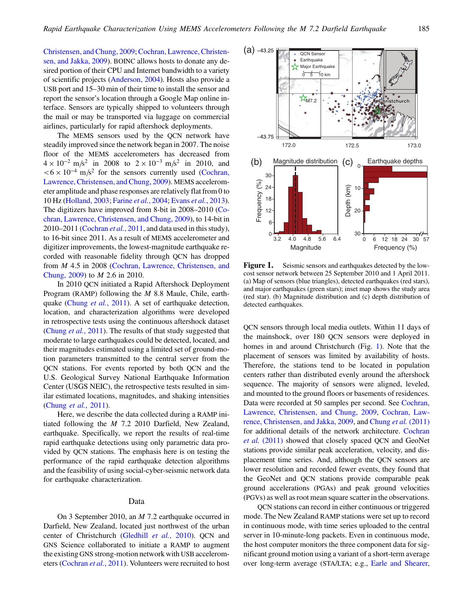[Christensen, and Chung, 2009;](#page-8-2) [Cochran, Lawrence, Christen](#page-8-3)[sen, and Jakka, 2009\)](#page-8-3). BOINC allows hosts to donate any desired portion of their CPU and Internet bandwidth to a variety of scientific projects ([Anderson, 2004](#page-7-1)). Hosts also provide a USB port and 15–30 min of their time to install the sensor and report the sensor's location through a Google Map online interface. Sensors are typically shipped to volunteers through the mail or may be transported via luggage on commercial airlines, particularly for rapid aftershock deployments.

The MEMS sensors used by the QCN network have steadily improved since the network began in 2007. The noise floor of the MEMS accelerometers has decreased from  $4 \times 10^{-2}$  m/s<sup>2</sup> in 2008 to  $2 \times 10^{-3}$  m/s<sup>2</sup> in 2010, and  $< 6 \times 10^{-4}$  m/s<sup>2</sup> for the sensors currently used ([Cochran,](#page-8-2) [Lawrence, Christensen, and Chung, 2009\)](#page-8-2). MEMS accelerometer amplitude and phase responses are relatively flat from 0 to 10 Hz ([Holland, 2003;](#page-8-7) [Farine](#page-8-8) et al., 2004; Evans et al.[, 2013](#page-8-9)). The digitizers have improved from 8-bit in 2008–2010 [\(Co](#page-8-2)[chran, Lawrence, Christensen, and Chung, 2009](#page-8-2)), to 14-bit in 2010–2011 [\(Cochran](#page-8-6) et al., 2011, and data used in this study), to 16-bit since 2011. As a result of MEMS accelerometer and digitizer improvements, the lowest-magnitude earthquake recorded with reasonable fidelity through QCN has dropped from M 4.5 in 2008 ([Cochran, Lawrence, Christensen, and](#page-8-2) [Chung, 2009](#page-8-2)) to M 2.6 in 2010.

In 2010 QCN initiated a Rapid Aftershock Deployment Program (RAMP) following the M 8.8 Maule, Chile, earth-quake (Chung et al.[, 2011\)](#page-8-5). A set of earthquake detection, location, and characterization algorithms were developed in retrospective tests using the continuous aftershock dataset [\(Chung](#page-8-5) et al., 2011). The results of that study suggested that moderate to large earthquakes could be detected, located, and their magnitudes estimated using a limited set of ground-motion parameters transmitted to the central server from the QCN stations. For events reported by both QCN and the U.S. Geological Survey National Earthquake Information Center (USGS NEIC), the retrospective tests resulted in similar estimated locations, magnitudes, and shaking intensities [\(Chung](#page-8-5) et al., 2011).

Here, we describe the data collected during a RAMP initiated following the M 7.2 2010 Darfield, New Zealand, earthquake. Specifically, we report the results of real-time rapid earthquake detections using only parametric data provided by QCN stations. The emphasis here is on testing the performance of the rapid earthquake detection algorithms and the feasibility of using social-cyber-seismic network data for earthquake characterization.

## Data

On 3 September 2010, an M 7.2 earthquake occurred in Darfield, New Zealand, located just northwest of the urban center of Christchurch [\(Gledhill](#page-8-10) et al., 2010). QCN and GNS Science collaborated to initiate a RAMP to augment the existing GNS strong-motion network with USB accelerometers ([Cochran](#page-8-6) et al., 2011). Volunteers were recruited to host

<span id="page-1-0"></span>

**Figure 1.** Seismic sensors and earthquakes detected by the low-cost sensor network between 25 September 2010 and 1 April 2011. (a) Map of sensors (blue triangles), detected earthquakes (red stars), and major earthquakes (green stars); inset map shows the study area (red star). (b) Magnitude distribution and (c) depth distribution of detected earthquakes.

QCN sensors through local media outlets. Within 11 days of the mainshock, over 180 QCN sensors were deployed in homes in and around Christchurch (Fig. [1\)](#page-1-0). Note that the placement of sensors was limited by availability of hosts. Therefore, the stations tend to be located in population centers rather than distributed evenly around the aftershock sequence. The majority of sensors were aligned, leveled, and mounted to the ground floors or basements of residences. Data were recorded at 50 samples per second. See [Cochran,](#page-8-2) [Lawrence, Christensen, and Chung, 2009,](#page-8-2) [Cochran, Law](#page-8-3)[rence, Christensen, and Jakka, 2009,](#page-8-3) and [Chung](#page-8-5) et al. (2011) for additional details of the network architecture. [Cochran](#page-8-6) et al. [\(2011\)](#page-8-6) showed that closely spaced QCN and GeoNet stations provide similar peak acceleration, velocity, and displacement time series. And, although the QCN sensors are lower resolution and recorded fewer events, they found that the GeoNet and QCN stations provide comparable peak ground accelerations (PGAs) and peak ground velocities (PGVs) as well as root mean square scatter in the observations.

QCN stations can record in either continuous or triggered mode. The New Zealand RAMP stations were set up to record in continuous mode, with time series uploaded to the central server in 10-minute-long packets. Even in continuous mode, the host computer monitors the three component data for significant ground motion using a variant of a short-term average over long-term average (STA/LTA; e.g., [Earle and Shearer,](#page-8-11)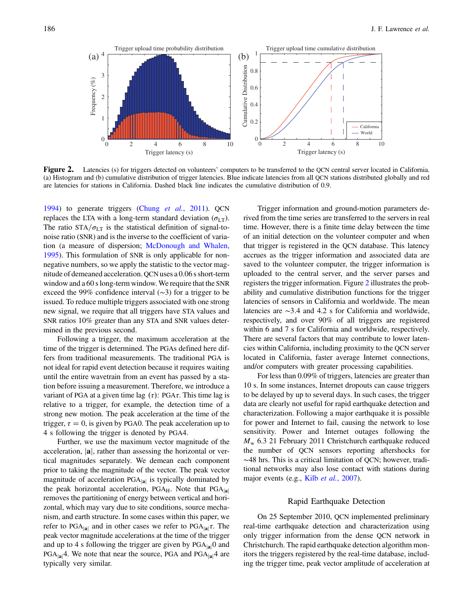<span id="page-2-0"></span>

Figure 2. Latencies (s) for triggers detected on volunteers' computers to be transferred to the QCN central server located in California.<br>(a) Histogram and (b) cumulative distribution of trigger latencies. Blue indicate la are latencies for stations in California. Dashed black line indicates the cumulative distribution of 0.9.

[1994](#page-8-11)) to generate triggers (Chung et al.[, 2011\)](#page-8-5). QCN replaces the LTA with a long-term standard deviation  $(\sigma_{LT})$ . The ratio STA/ $\sigma_{LT}$  is the statistical definition of signal-tonoise ratio (SNR) and is the inverse to the coefficient of variation (a measure of dispersion; [McDonough and Whalen,](#page-8-12) [1995](#page-8-12)). This formulation of SNR is only applicable for nonnegative numbers, so we apply the statistic to the vector magnitude of demeaned acceleration. QCN uses a 0.06 s short-term window and a 60 s long-term window. We require that the SNR exceed the 99% confidence interval (∼3) for a trigger to be issued. To reduce multiple triggers associated with one strong new signal, we require that all triggers have STA values and SNR ratios 10% greater than any STA and SNR values determined in the previous second.

Following a trigger, the maximum acceleration at the time of the trigger is determined. The PGAs defined here differs from traditional measurements. The traditional PGA is not ideal for rapid event detection because it requires waiting until the entire wavetrain from an event has passed by a station before issuing a measurement. Therefore, we introduce a variant of PGA at a given time lag  $(\tau)$ : PGA $\tau$ . This time lag is relative to a trigger, for example, the detection time of a strong new motion. The peak acceleration at the time of the trigger,  $\tau = 0$ , is given by PGA0. The peak acceleration up to 4 s following the trigger is denoted by PGA4.

Further, we use the maximum vector magnitude of the acceleration,  $|\mathbf{a}|$ , rather than assessing the horizontal or vertical magnitudes separately. We demean each component prior to taking the magnitude of the vector. The peak vector magnitude of acceleration  $PGA_{|a|}$  is typically dominated by the peak horizontal acceleration, PGA $_H$ . Note that PGA $_{|a|}$ removes the partitioning of energy between vertical and horizontal, which may vary due to site conditions, source mechanism, and earth structure. In some cases within this paper, we refer to PGA $_{|a|}$  and in other cases we refer to PGA $_{|a|}\tau$ . The peak vector magnitude accelerations at the time of the trigger and up to 4 s following the trigger are given by  $PGA_{|a|}$ 0 and  $PGA_{|a|}4$ . We note that near the source, PGA and  $PGA_{|a|}4$  are typically very similar.

Trigger information and ground-motion parameters derived from the time series are transferred to the servers in real time. However, there is a finite time delay between the time of an initial detection on the volunteer computer and when that trigger is registered in the QCN database. This latency accrues as the trigger information and associated data are saved to the volunteer computer, the trigger information is uploaded to the central server, and the server parses and registers the trigger information. Figure [2](#page-2-0) illustrates the probability and cumulative distribution functions for the trigger latencies of sensors in California and worldwide. The mean latencies are ∼3:4 and 4.2 s for California and worldwide, respectively, and over 90% of all triggers are registered within 6 and 7 s for California and worldwide, respectively. There are several factors that may contribute to lower latencies within California, including proximity to the QCN server located in California, faster average Internet connections, and/or computers with greater processing capabilities.

For less than 0.09% of triggers, latencies are greater than 10 s. In some instances, Internet dropouts can cause triggers to be delayed by up to several days. In such cases, the trigger data are clearly not useful for rapid earthquake detection and characterization. Following a major earthquake it is possible for power and Internet to fail, causing the network to lose sensitivity. Power and Internet outages following the  $M_{\rm w}$  6.3 21 February 2011 Christchurch earthquake reduced the number of QCN sensors reporting aftershocks for ∼48 hrs. This is a critical limitation of QCN; however, traditional networks may also lose contact with stations during major events (e.g., Kilb et al.[, 2007\)](#page-8-13).

## Rapid Earthquake Detection

On 25 September 2010, QCN implemented preliminary real-time earthquake detection and characterization using only trigger information from the dense QCN network in Christchurch. The rapid earthquake detection algorithm monitors the triggers registered by the real-time database, including the trigger time, peak vector amplitude of acceleration at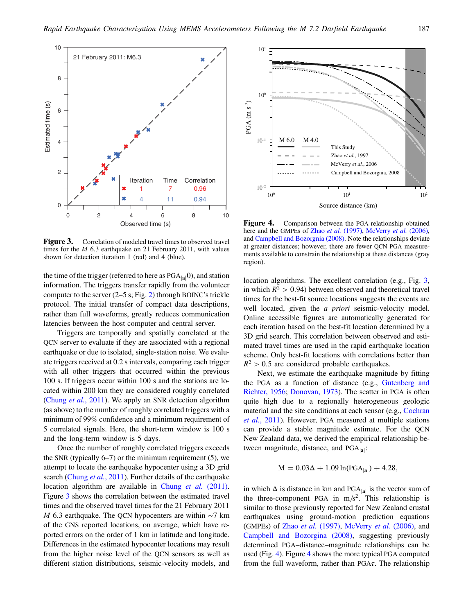<span id="page-3-0"></span>

**Figure 3.** Correlation of modeled travel times to observed travel times for the *M* 6.3 earthquake on 21 February 2011, with values shown for detection iteration 1 (red) and 4 (blue).

the time of the trigger (referred to here as  $PGA_{|a|}(0)$ , and station information. The triggers transfer rapidly from the volunteer computer to the server  $(2–5 s; Fig. 2)$  $(2–5 s; Fig. 2)$  $(2–5 s; Fig. 2)$  through BOINC's trickle protocol. The initial transfer of compact data descriptions, rather than full waveforms, greatly reduces communication latencies between the host computer and central server.

Triggers are temporally and spatially correlated at the QCN server to evaluate if they are associated with a regional earthquake or due to isolated, single-station noise. We evaluate triggers received at 0.2 s intervals, comparing each trigger with all other triggers that occurred within the previous 100 s. If triggers occur within 100 s and the stations are located within 200 km they are considered roughly correlated [\(Chung](#page-8-5) et al., 2011). We apply an SNR detection algorithm (as above) to the number of roughly correlated triggers with a minimum of 99% confidence and a minimum requirement of 5 correlated signals. Here, the short-term window is 100 s and the long-term window is 5 days.

Once the number of roughly correlated triggers exceeds the SNR (typically  $6-7$ ) or the minimum requirement (5), we attempt to locate the earthquake hypocenter using a 3D grid search ([Chung](#page-8-5) et al., 2011). Further details of the earthquake location algorithm are available in [Chung](#page-8-5) *et al.* (2011). Figure [3](#page-3-0) shows the correlation between the estimated travel times and the observed travel times for the 21 February 2011 M 6.3 earthquake. The QCN hypocenters are within ∼7 km of the GNS reported locations, on average, which have reported errors on the order of 1 km in latitude and longitude. Differences in the estimated hypocenter locations may result from the higher noise level of the QCN sensors as well as different station distributions, seismic-velocity models, and

<span id="page-3-1"></span>

**Figure 4.** Comparison between the PGA relationship obtained here and the GMPEs of Zhao *et al.* [\(1997\),](#page-8-16) [McVerry](#page-8-17) *et al.* (2006), and [Campbell and Bozorgnia \(2008\)](#page-7-3). Note the relationships deviate at greater distances; however, there are fewer QCN PGA measurements available to constrain the relationship at these distances (gray region).

location algorithms. The excellent correlation (e.g., Fig. [3](#page-3-0), in which  $R^2 > 0.94$ ) between observed and theoretical travel times for the best-fit source locations suggests the events are well located, given the *a priori* seismic-velocity model. Online accessible figures are automatically generated for each iteration based on the best-fit location determined by a 3D grid search. This correlation between observed and estimated travel times are used in the rapid earthquake location scheme. Only best-fit locations with correlations better than  $R^2 > 0.5$  are considered probable earthquakes.

Next, we estimate the earthquake magnitude by fitting the PGA as a function of distance (e.g., [Gutenberg and](#page-8-14) [Richter, 1956](#page-8-14); [Donovan, 1973](#page-8-15)). The scatter in PGA is often quite high due to a regionally heterogeneous geologic material and the site conditions at each sensor (e.g., [Cochran](#page-8-6) et al.[, 2011](#page-8-6)). However, PGA measured at multiple stations can provide a stable magnitude estimate. For the QCN New Zealand data, we derived the empirical relationship between magnitude, distance, and  $PGA_{|a|}$ :

$$
M = 0.03\Delta + 1.09 \ln(PGA_{|\mathbf{a}|}) + 4.28,
$$

in which  $\Delta$  is distance in km and PGA<sub>|a|</sub> is the vector sum of the three-component PGA in  $m/s^2$ . This relationship is similar to those previously reported for New Zealand crustal earthquakes using ground-motion prediction equations (GMPEs) of Zhao et al. [\(1997\),](#page-8-16) [McVerry](#page-8-17) et al. (2006), and [Campbell and Bozorgina \(2008\)](#page-7-3), suggesting previously determined PGA–distance–magnitude relationships can be used (Fig. [4](#page-3-1)). Figure [4](#page-3-1) shows the more typical PGA computed from the full waveform, rather than  $PGA\tau$ . The relationship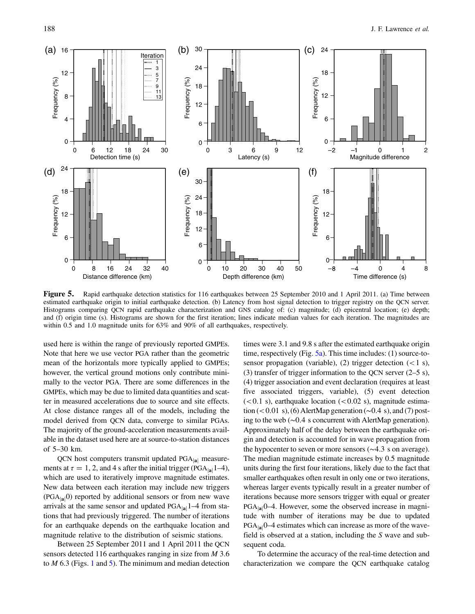<span id="page-4-0"></span>

**Figure 5.** Rapid earthquake detection statistics for 116 earthquakes between 25 September 2010 and 1 April 2011. (a) Time between estimated earthquake origin to initial earthquake detection. (b) Latency from host signal d Histograms comparing QCN rapid earthquake characterization and GNS catalog of: (c) magnitude; (d) epicentral location; (e) depth; and (f) origin time (s). Histograms are shown for the first iteration; lines indicate median values for each iteration. The magnitudes are within 0.5 and 1.0 magnitude units for 63% and 90% of all earthquakes, respectively.

used here is within the range of previously reported GMPEs. Note that here we use vector PGA rather than the geometric mean of the horizontals more typically applied to GMPEs; however, the vertical ground motions only contribute minimally to the vector PGA. There are some differences in the GMPEs, which may be due to limited data quantities and scatter in measured accelerations due to source and site effects. At close distance ranges all of the models, including the model derived from QCN data, converge to similar PGAs. The majority of the ground-acceleration measurements available in the dataset used here are at source-to-station distances of 5–30 km.

QCN host computers transmit updated  $PGA_{|a|}$  measurements at  $\tau = 1$ , 2, and 4 s after the initial trigger (PGA<sub>|a|</sub>1–4), which are used to iteratively improve magnitude estimates. New data between each iteration may include new triggers  $(PGA_{[a]}0)$  reported by additional sensors or from new wave arrivals at the same sensor and updated  $PGA_{|a|}1-4$  from stations that had previously triggered. The number of iterations for an earthquake depends on the earthquake location and magnitude relative to the distribution of seismic stations.

Between 25 September 2011 and 1 April 2011 the QCN sensors detected 116 earthquakes ranging in size from M 3.6 to  $M$  6.3 (Figs. [1](#page-1-0) and [5\)](#page-4-0). The minimum and median detection

times were 3.1 and 9.8 s after the estimated earthquake origin time, respectively (Fig.  $5a$ ). This time includes: (1) source-tosensor propagation (variable), (2) trigger detection  $(< 1 \text{ s})$ , (3) transfer of trigger information to the QCN server  $(2-5 s)$ , (4) trigger association and event declaration (requires at least five associated triggers, variable), (5) event detection  $(<0.1 \text{ s})$ , earthquake location  $(<0.02 \text{ s})$ , magnitude estimation (<0.01 s), (6) AlertMap generation (∼0.4 s), and (7) posting to the web (∼0:4 s concurrent with AlertMap generation). Approximately half of the delay between the earthquake origin and detection is accounted for in wave propagation from the hypocenter to seven or more sensors ( $\sim$ 4.3 s on average). The median magnitude estimate increases by 0.5 magnitude units during the first four iterations, likely due to the fact that smaller earthquakes often result in only one or two iterations, whereas larger events typically result in a greater number of iterations because more sensors trigger with equal or greater  $PGA_{|a|}$ 0–4. However, some the observed increase in magnitude with number of iterations may be due to updated  $PGA_{|a|}$ 0–4 estimates which can increase as more of the wavefield is observed at a station, including the S wave and subsequent coda.

To determine the accuracy of the real-time detection and characterization we compare the QCN earthquake catalog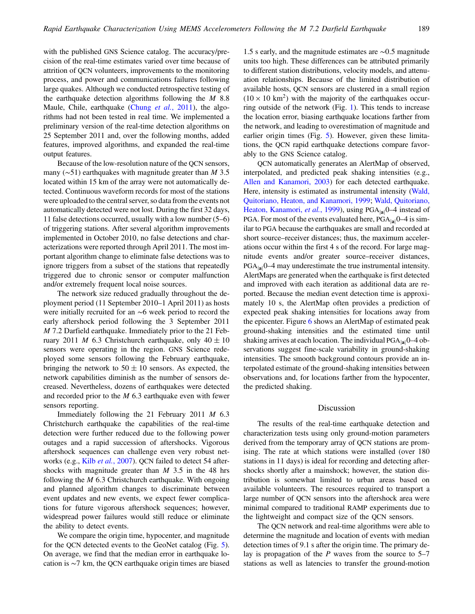with the published GNS Science catalog. The accuracy/precision of the real-time estimates varied over time because of attrition of QCN volunteers, improvements to the monitoring process, and power and communications failures following large quakes. Although we conducted retrospective testing of the earthquake detection algorithms following the  $M$  8.8 Maule, Chile, earthquake (Chung et al.[, 2011\)](#page-8-5), the algorithms had not been tested in real time. We implemented a preliminary version of the real-time detection algorithms on 25 September 2011 and, over the following months, added features, improved algorithms, and expanded the real-time output features.

Because of the low-resolution nature of the QCN sensors, many ( $\sim$ 51) earthquakes with magnitude greater than *M* 3.5 located within 15 km of the array were not automatically detected. Continuous waveform records for most of the stations were uploaded to the central server, so data from the events not automatically detected were not lost. During the first 32 days, 11 false detections occurred, usually with a low number (5–6) of triggering stations. After several algorithm improvements implemented in October 2010, no false detections and characterizations were reported through April 2011. The most important algorithm change to eliminate false detections was to ignore triggers from a subset of the stations that repeatedly triggered due to chronic sensor or computer malfunction and/or extremely frequent local noise sources.

The network size reduced gradually throughout the deployment period (11 September 2010–1 April 2011) as hosts were initially recruited for an ∼6 week period to record the early aftershock period following the 3 September 2011 M 7.2 Darfield earthquake. Immediately prior to the 21 February 2011 M 6.3 Christchurch earthquake, only  $40 \pm 10$ sensors were operating in the region. GNS Science redeployed some sensors following the February earthquake, bringing the network to  $50 \pm 10$  sensors. As expected, the network capabilities diminish as the number of sensors decreased. Nevertheless, dozens of earthquakes were detected and recorded prior to the M 6.3 earthquake even with fewer sensors reporting.

Immediately following the 21 February 2011 M 6.3 Christchurch earthquake the capabilities of the real-time detection were further reduced due to the following power outages and a rapid succession of aftershocks. Vigorous aftershock sequences can challenge even very robust net-works (e.g., Kilb et al.[, 2007\)](#page-8-13). QCN failed to detect 54 aftershocks with magnitude greater than  $M$  3.5 in the 48 hrs following the  $M$  6.3 Christchurch earthquake. With ongoing and planned algorithm changes to discriminate between event updates and new events, we expect fewer complications for future vigorous aftershock sequences; however, widespread power failures would still reduce or eliminate the ability to detect events.

We compare the origin time, hypocenter, and magnitude for the QCN detected events to the GeoNet catalog (Fig. [5](#page-4-0)). On average, we find that the median error in earthquake location is ∼7 km, the QCN earthquake origin times are biased

1.5 s early, and the magnitude estimates are ∼0:5 magnitude units too high. These differences can be attributed primarily to different station distributions, velocity models, and attenuation relationships. Because of the limited distribution of available hosts, QCN sensors are clustered in a small region  $(10 \times 10 \text{ km}^2)$  with the majority of the earthquakes occurring outside of the network (Fig. [1\)](#page-1-0). This tends to increase the location error, biasing earthquake locations farther from the network, and leading to overestimation of magnitude and earlier origin times (Fig. [5\)](#page-4-0). However, given these limitations, the QCN rapid earthquake detections compare favorably to the GNS Science catalog.

QCN automatically generates an AlertMap of observed, interpolated, and predicted peak shaking intensities (e.g., [Allen and Kanamori, 2003](#page-7-4)) for each detected earthquake. Here, intensity is estimated as instrumental intensity ([Wald,](#page-8-18) [Quitoriano, Heaton, and Kanamori, 1999](#page-8-18); [Wald, Quitoriano,](#page-8-19) [Heaton, Kanamori,](#page-8-19) et al., 1999), using PGA<sub>lal</sub>0–4 instead of PGA. For most of the events evaluated here,  $PGA_{|a|}0-4$  is similar to PGA because the earthquakes are small and recorded at short source–receiver distances; thus, the maximum accelerations occur within the first 4 s of the record. For large magnitude events and/or greater source–receiver distances,  $PGA_{|a|}$ 0–4 may underestimate the true instrumental intensity. AlertMaps are generated when the earthquake is first detected and improved with each iteration as additional data are reported. Because the median event detection time is approximately 10 s, the AlertMap often provides a prediction of expected peak shaking intensities for locations away from the epicenter. Figure [6](#page-6-0) shows an AlertMap of estimated peak ground-shaking intensities and the estimated time until shaking arrives at each location. The individual  $PGA_{[a]}0-4$  observations suggest fine-scale variability in ground-shaking intensities. The smooth background contours provide an interpolated estimate of the ground-shaking intensities between observations and, for locations farther from the hypocenter, the predicted shaking.

#### Discussion

The results of the real-time earthquake detection and characterization tests using only ground-motion parameters derived from the temporary array of QCN stations are promising. The rate at which stations were installed (over 180 stations in 11 days) is ideal for recording and detecting aftershocks shortly after a mainshock; however, the station distribution is somewhat limited to urban areas based on available volunteers. The resources required to transport a large number of QCN sensors into the aftershock area were minimal compared to traditional RAMP experiments due to the lightweight and compact size of the QCN sensors.

The QCN network and real-time algorithms were able to determine the magnitude and location of events with median detection times of 9.1 s after the origin time. The primary delay is propagation of the  $P$  waves from the source to 5–7 stations as well as latencies to transfer the ground-motion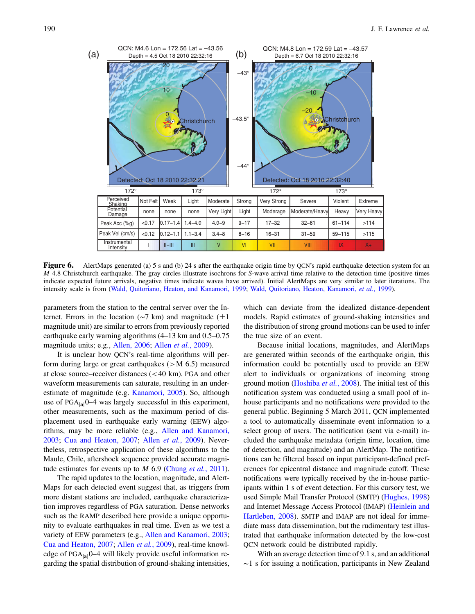<span id="page-6-0"></span>

**Figure 6.** AlertMaps generated (a) 5 s and (b) 24 s after the earthquake origin time by QCN's rapid earthquake detection system for an  $M$  4.8 Christchurch earthquake. The gray circles illustrate isochrons for S-wave arr indicate expected future arrivals, negative times indicate waves have arrived). Initial AlertMaps are very similar to later iterations. The intensity scale is from ([Wald, Quitoriano, Heaton, and Kanamori, 1999](#page-8-18); [Wald, Quitoriano, Heaton, Kanamori,](#page-8-19) et al., 1999).

parameters from the station to the central server over the Internet. Errors in the location ( $\sim$ 7 km) and magnitude ( $\pm$ 1 magnitude unit) are similar to errors from previously reported earthquake early warning algorithms (4–13 km and 0.5–0.75 magnitude units; e.g., [Allen, 2006](#page-7-5); Allen et al.[, 2009\)](#page-7-6).

It is unclear how QCN's real-time algorithms will perform during large or great earthquakes  $(>M 6.5)$  measured at close source–receiver distances (<40 km). PGA and other waveform measurements can saturate, resulting in an underestimate of magnitude (e.g. [Kanamori, 2005\)](#page-8-20). So, although use of  $PGA_{|a|}0-4$  was largely successful in this experiment, other measurements, such as the maximum period of displacement used in earthquake early warning (EEW) algorithms, may be more reliable (e.g., [Allen and Kanamori,](#page-7-4) [2003](#page-7-4); [Cua and Heaton, 2007](#page-8-21); Allen et al.[, 2009\)](#page-7-6). Nevertheless, retrospective application of these algorithms to the Maule, Chile, aftershock sequence provided accurate magnitude estimates for events up to  $M$  6.9 [\(Chung](#page-8-5) et al., 2011).

The rapid updates to the location, magnitude, and Alert-Maps for each detected event suggest that, as triggers from more distant stations are included, earthquake characterization improves regardless of PGA saturation. Dense networks such as the RAMP described here provide a unique opportunity to evaluate earthquakes in real time. Even as we test a variety of EEW parameters (e.g., [Allen and Kanamori, 2003](#page-7-4); [Cua and Heaton, 2007;](#page-8-21) Allen et al.[, 2009](#page-7-6)), real-time knowledge of  $PGA_{|a|}0-4$  will likely provide useful information regarding the spatial distribution of ground-shaking intensities,

which can deviate from the idealized distance-dependent models. Rapid estimates of ground-shaking intensities and the distribution of strong ground motions can be used to infer the true size of an event.

Because initial locations, magnitudes, and AlertMaps are generated within seconds of the earthquake origin, this information could be potentially used to provide an EEW alert to individuals or organizations of incoming strong ground motion [\(Hoshiba](#page-8-22) et al., 2008). The initial test of this notification system was conducted using a small pool of inhouse participants and no notifications were provided to the general public. Beginning 5 March 2011, QCN implemented a tool to automatically disseminate event information to a select group of users. The notification (sent via e-mail) included the earthquake metadata (origin time, location, time of detection, and magnitude) and an AlertMap. The notifications can be filtered based on input participant-defined preferences for epicentral distance and magnitude cutoff. These notifications were typically received by the in-house participants within 1 s of event detection. For this cursory test, we used Simple Mail Transfer Protocol (SMTP) [\(Hughes, 1998\)](#page-8-23) and Internet Message Access Protocol (IMAP) ([Heinlein and](#page-8-24) [Hartleben, 2008](#page-8-24)). SMTP and IMAP are not ideal for immediate mass data dissemination, but the rudimentary test illustrated that earthquake information detected by the low-cost QCN network could be distributed rapidly.

With an average detection time of 9.1 s, and an additional ∼1 s for issuing a notification, participants in New Zealand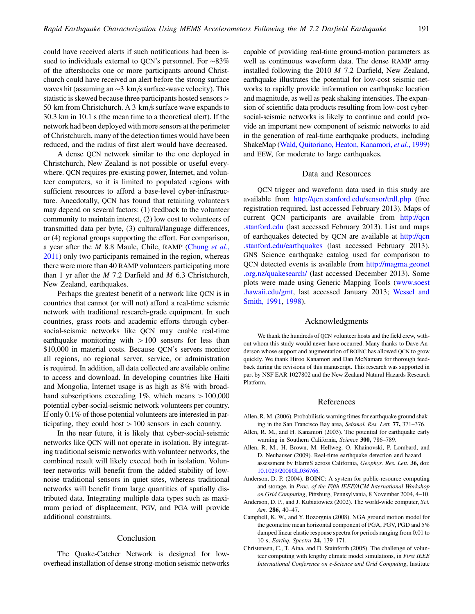could have received alerts if such notifications had been issued to individuals external to QCN's personnel. For ∼83% of the aftershocks one or more participants around Christchurch could have received an alert before the strong surface waves hit (assuming an  $\sim$ 3 km/s surface-wave velocity). This statistic is skewed because three participants hosted sensors > 50 km from Christchurch. A 3 km/s surface wave expands to 30.3 km in 10.1 s (the mean time to a theoretical alert). If the network had been deployed with more sensors at the perimeter of Christchurch, many of the detection times would have been reduced, and the radius of first alert would have decreased.

A dense QCN network similar to the one deployed in Christchurch, New Zealand is not possible or useful everywhere. QCN requires pre-existing power, Internet, and volunteer computers, so it is limited to populated regions with sufficient resources to afford a base-level cyber-infrastructure. Anecdotally, QCN has found that retaining volunteers may depend on several factors: (1) feedback to the volunteer community to maintain interest, (2) low cost to volunteers of transmitted data per byte, (3) cultural/language differences, or (4) regional groups supporting the effort. For comparison, a year after the *M* 8.8 Maule, Chile, RAMP [\(Chung](#page-8-5) et al., [2011](#page-8-5)) only two participants remained in the region, whereas there were more than 40 RAMP volunteers participating more than 1 yr after the  $M$  7.2 Darfield and  $M$  6.3 Christchurch, New Zealand, earthquakes.

Perhaps the greatest benefit of a network like QCN is in countries that cannot (or will not) afford a real-time seismic network with traditional research-grade equipment. In such countries, grass roots and academic efforts through cybersocial-seismic networks like QCN may enable real-time earthquake monitoring with  $>100$  sensors for less than \$10,000 in material costs. Because QCN's servers monitor all regions, no regional server, service, or administration is required. In addition, all data collected are available online to access and download. In developing countries like Haiti and Mongolia, Internet usage is as high as 8% with broadband subscriptions exceeding 1%, which means  $>100,000$ potential cyber-social-seismic network volunteers per country. If only 0.1% of those potential volunteers are interested in participating, they could host >100 sensors in each country.

In the near future, it is likely that cyber-social-seismic networks like QCN will not operate in isolation. By integrating traditional seismic networks with volunteer networks, the combined result will likely exceed both in isolation. Volunteer networks will benefit from the added stability of lownoise traditional sensors in quiet sites, whereas traditional networks will benefit from large quantities of spatially distributed data. Integrating multiple data types such as maximum period of displacement, PGV, and PGA will provide additional constraints.

## Conclusion

The Quake-Catcher Network is designed for lowoverhead installation of dense strong-motion seismic networks capable of providing real-time ground-motion parameters as well as continuous waveform data. The dense RAMP array installed following the 2010 M 7.2 Darfield, New Zealand, earthquake illustrates the potential for low-cost seismic networks to rapidly provide information on earthquake location and magnitude, as well as peak shaking intensities. The expansion of scientific data products resulting from low-cost cybersocial-seismic networks is likely to continue and could provide an important new component of seismic networks to aid in the generation of real-time earthquake products, including ShakeMap [\(Wald, Quitoriano, Heaton, Kanamori,](#page-8-19) et al., 1999) and EEW, for moderate to large earthquakes.

# Data and Resources

QCN trigger and waveform data used in this study are available from <http://qcn.stanford.edu/sensor/trdl.php> (free registration required, last accessed February 2013). Maps of current QCN participants are available from [http://qcn](http://qcn.stanford.edu) [.stanford.edu](http://qcn.stanford.edu) (last accessed February 2013). List and maps of earthquakes detected by QCN are available at [http://qcn](http://qcn.stanford.edu/earthquakes) [.stanford.edu/earthquakes](http://qcn.stanford.edu/earthquakes) (last accessed February 2013). GNS Science earthquake catalog used for comparison to QCN detected events is available from [http://magma.geonet](http://magma.geonet.org.nz/quakesearch/) [.org.nz/quakesearch/](http://magma.geonet.org.nz/quakesearch/) (last accessed December 2013). Some plots were made using Generic Mapping Tools ([www.soest](www.soest.hawaii.edu/gmt) [.hawaii.edu/gmt,](www.soest.hawaii.edu/gmt) last accessed January 2013; [Wessel and](#page-8-25) [Smith, 1991](#page-8-25), [1998\)](#page-8-26).

## Acknowledgments

We thank the hundreds of QCN volunteer hosts and the field crew, without whom this study would never have occurred. Many thanks to Dave Anderson whose support and augmentation of BOINC has allowed QCN to grow quickly. We thank Hiroo Kanamori and Dan McNamara for thorough feedback during the revisions of this manuscript. This research was supported in part by NSF EAR 1027802 and the New Zealand Natural Hazards Research Platform.

#### References

- <span id="page-7-5"></span><span id="page-7-4"></span>Allen, R. M. (2006). Probabilistic warning times for earthquake ground shaking in the San Francisco Bay area, Seismol. Res. Lett. 77, <sup>371</sup>–376.
- <span id="page-7-6"></span>Allen, R. M., and H. Kanamori (2003). The potential for earthquake early warning in Southern California, Science 300, <sup>786</sup>–789.
- Allen, R. M., H. Brown, M. Hellweg, O. Khainovski, P. Lombard, and D. Neuhauser (2009). Real-time earthquake detection and hazard assessment by ElarmS across California, Geophys. Res. Lett. 36, doi: [10.1029/2008GL036766.](http://dx.doi.org/10.1029/2008GL036766)
- <span id="page-7-1"></span>Anderson, D. P. (2004). BOINC: A system for public-resource computing and storage, in Proc. of the Fifth IEEE/ACM International Workshop on Grid Computing, Pittsburg, Pennsylvania, 8 November 2004, 4–10.
- <span id="page-7-3"></span><span id="page-7-0"></span>Anderson, D. P., and J. Kubiatowicz (2002). The world-wide computer, Sci. Am. 286, <sup>40</sup>–47.
- Campbell, K. W., and Y. Bozorgnia (2008). NGA ground motion model for the geometric mean horizontal component of PGA, PGV, PGD and 5% damped linear elastic response spectra for periods ranging from 0.01 to 10 s, Earthq. Spectra 24, <sup>139</sup>–171.
- <span id="page-7-2"></span>Christensen, C., T. Aina, and D. Stainforth (2005). The challenge of volunteer computing with lengthy climate model simulations, in First IEEE International Conference on e-Science and Grid Computing, Institute